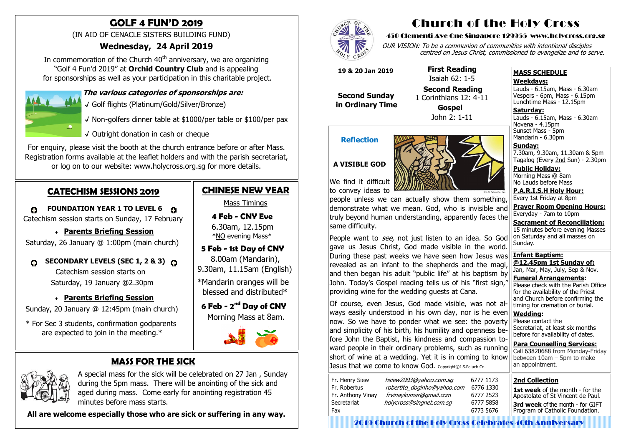# **MASS FOR THE SICK**



 A special mass for the sick will be celebrated on 27 Jan , Sunday during the 5pm mass. There will be anointing of the sick and aged during mass. Come early for anointing registration 45 minutes before mass starts.

 **All are welcome especially those who are sick or suffering in any way.**



In commemoration of the Church  $40<sup>th</sup>$  anniversary, we are organizing "Golf 4 Fun'd 2019" at **Orchid Country Club** and is appealing for sponsorships as well as your participation in this charitable project.

# **GOLF 4 FUN'D 2019**

(IN AID OF CENACLE SISTERS BUILDING FUND)

## **Wednesday, 24 April 2019**

**FOUNDATION YEAR 1 TO LEVEL 6** Catechism session starts on Sunday, 17 February



√ Golf flights (Platinum/Gold/Silver/Bronze)

- √ Non-golfers dinner table at \$1000/per table or \$100/per pax
- √ Outright donation in cash or cheque

 **4 Feb - CNY Eve**  6.30am, 12.15pm \*<u>NO</u> evening Mass\*

For enquiry, please visit the booth at the church entrance before or after Mass. Registration forms available at the leaflet holders and with the parish secretariat, or log on to our website: www.holycross.org.sg for more details.

## **CATECHISM SESSIONS 2019**

 $\bullet$ 

 **Parents Briefing Session** Saturday, 26 January @ 1:00pm (main church)

#### **SECONDARY LEVELS (SEC 1, 2 & 3) C** O

 Catechism session starts on Saturday, 19 January @2.30pm

### **Parents Briefing Session**

Sunday, 20 January @ 12:45pm (main church)

 \* For Sec 3 students, confirmation godparents are expected to join in the meeting.\*

# **CHINESE NEW YEAR**

**Wedding:**  Please contact the Secretariat, at least six months before for availability of dates. **Para Counselling Services:** Call [63820688](tel:+6563820688) from Monday-Friday between  $10$ am – 5pm to make an appointment. ways easily understood in his own day, nor is he even now. So we have to ponder what we see: the poverty and simplicity of his birth, his humility and openness before John the Baptist, his kindness and compassion toward people in their ordinary problems, such as running short of wine at a wedding. Yet it is in coming to know Jesus that we come to know God. Copyright©J.S.Paluch Co.

| Fr. Henry Siew<br>Fr. Robertus<br>Fr. Anthony Vinay<br>Secretariat<br>Fax | hsiew2003@yahoo.com.sg<br>robertito_doginho@yahoo.com<br>frvinaykumar@gmail.com<br>holycross@singnet.com.sq | 6<br>f<br>Р<br>F<br>F |
|---------------------------------------------------------------------------|-------------------------------------------------------------------------------------------------------------|-----------------------|
|---------------------------------------------------------------------------|-------------------------------------------------------------------------------------------------------------|-----------------------|

Mass Timings

# **5 Feb - 1st Day of CNY**

 8.00am (Mandarin), 9.30am, 11.15am (English)

\*Mandarin oranges will be blessed and distributed\*

 **6 Feb - 2 nd Day of CNY** Morning Mass at 8am.



# Church of the Holy Cross

#### 450 Clementi Ave One Singapore 129955 www.holycross.org.sg

OUR VISION: To be a communion of communities with intentional disciples centred on Jesus Christ, commissioned to evangelize and to serve.

#### **MASS SCHEDULE**

#### **Weekdays:**

Lauds - 6.15am, Mass - 6.30am Vespers - 6pm, Mass - 6.15pm Lunchtime Mass - 12.15pm

1st week of the month - for the Apostolate of St Vincent de Paul. **3rd week** of the month - for GIFT Program of Catholic Foundation.

**Saturday:** Lauds - 6.15am, Mass - 6.30am Novena - 4.15pm Sunset Mass - 5pm

Mandarin - 6.30pm

**Sunday:** 7.30am, 9.30am, 11.30am & 5pm Tagalog (Every 2nd Sun) - 2.30pm

**Public Holiday:**  Morning Mass @ 8am No Lauds before Mass

**P.A.R.I.S.H Holy Hour:** Every 1st Friday at 8pm

**Prayer Room Opening Hours:** Everyday - 7am to 10pm

**Sacrament of Reconciliation:** 15 minutes before evening Masses

### **Reflection**



### **A VISIBLE GOD**

We find it difficult to convey ideas to

on Saturday and all masses on Sunday. **Infant Baptism: @12.45pm 1st Sunday of:** Jan, Mar, May, July, Sep & Nov. **Funeral Arrangements:**  Please check with the Parish Office for the availability of the Priest and Church before confirming the timing for cremation or burial. People want to *see*, not just listen to an idea. So God gave us Jesus Christ, God made visible in the world. During these past weeks we have seen how Jesus was revealed as an infant to the shepherds and the magi, and then began his adult "public life" at his baptism by John. Today's Gospel reading tells us of his "first sign," providing wine for the wedding guests at Cana. Of course, even Jesus, God made visible, was not al-

people unless we can actually show them something, demonstrate what we mean. God, who is invisible and truly beyond human understanding, apparently faces the same difficulty.

 **19 & 20 Jan 2019**

 **Second Sunday in Ordinary Time**  **First Reading** Isaiah 62: 1-5

 **Second Reading** 1 Corinthians 12: 4-11 **Gospel** John 2: 1-11

#### **2nd Collection**

2019 Church of the Holy Cross Celebrates 40th Anniversary